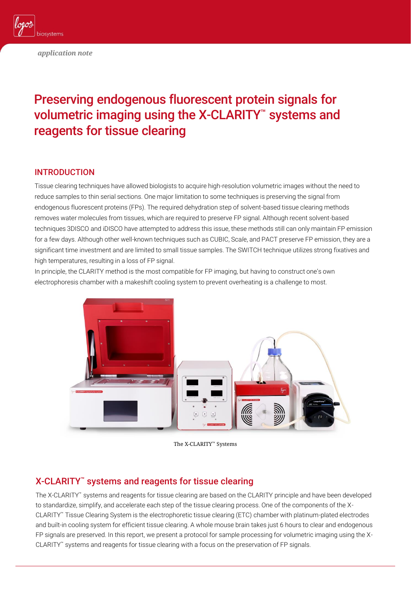

*application note*

# Preserving endogenous fluorescent protein signals for volumetric imaging using the X-CLARITY™ systems and reagents for tissue clearing

# INTRODUCTION

Tissue clearing techniques have allowed biologists to acquire high-resolution volumetric images without the need to reduce samples to thin serial sections. One major limitation to some techniques is preserving the signal from endogenous fluorescent proteins (FPs). The required dehydration step of solvent-based tissue clearing methods removes water molecules from tissues, which are required to preserve FP signal. Although recent solvent-based techniques 3DISCO and iDISCO have attempted to address this issue, these methods still can only maintain FP emission for a few days. Although other well-known techniques such as CUBIC, Sca*l*e, and PACT preserve FP emission, they are a significant time investment and are limited to small tissue samples. The SWITCH technique utilizes strong fixatives and high temperatures, resulting in a loss of FP signal.

In principle, the CLARITY method is the most compatible for FP imaging, but having to construct one's own electrophoresis chamber with a makeshift cooling system to prevent overheating is a challenge to most.



The X-CLARITY™ Systems

# X-CLARITY™ systems and reagents for tissue clearing

The X-CLARITY™ systems and reagents for tissue clearing are based on the CLARITY principle and have been developed to standardize, simplify, and accelerate each step of the tissue clearing process. One of the components of the X-CLARITY™ Tissue Clearing System is the electrophoretic tissue clearing (ETC) chamber with platinum-plated electrodes and built-in cooling system for efficient tissue clearing. A whole mouse brain takes just 6 hours to clear and endogenous FP signals are preserved. In this report, we present a protocol for sample processing for volumetric imaging using the X-CLARITY™ systems and reagents for tissue clearing with a focus on the preservation of FP signals.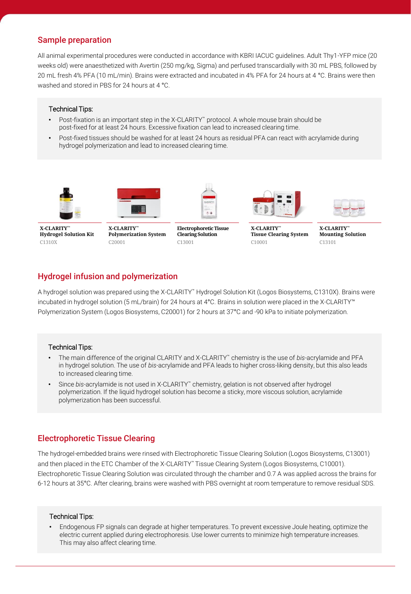# Sample preparation

All animal experimental procedures were conducted in accordance with KBRI IACUC guidelines. Adult Thy1-YFP mice (20 weeks old) were anaesthetized with Avertin (250 mg/kg, Sigma) and perfused transcardially with 30 mL PBS, followed by 20 mL fresh 4% PFA (10 mL/min). Brains were extracted and incubated in 4% PFA for 24 hours at 4 °C. Brains were then washed and stored in PBS for 24 hours at 4 °C.

#### Technical Tips:

- Post-fixation is an important step in the X-CLARITY™ protocol. A whole mouse brain should be post-fixed for at least 24 hours. Excessive fixation can lead to increased clearing time.
- Post-fixed tissues should be washed for at least 24 hours as residual PFA can react with acrylamide during hydrogel polymerization and lead to increased clearing time.





**X-CLARITY™ Hydrogel Solution Kit** C1310X

**X-CLARITY™ Polymerization System** C20001



**Electrophoretic Tissue Clearing Solution** C13001



**X-CLARITY™ Tissue Clearing System** C10001



**X-CLARITY™ Mounting Solution** C13101

### Hydrogel infusion and polymerization

A hydrogel solution was prepared using the X-CLARITY™ Hydrogel Solution Kit (Logos Biosystems, C1310X). Brains were incubated in hydrogel solution (5 mL/brain) for 24 hours at 4°C. Brains in solution were placed in the X-CLARITY™ Polymerization System (Logos Biosystems, C20001) for 2 hours at 37°C and -90 kPa to initiate polymerization.

#### Technical Tips:

- The main difference of the original CLARITY and X-CLARITY™ chemistry is the use of *bis*-acrylamide and PFA in hydrogel solution. The use of *bis*-acrylamide and PFA leads to higher cross-liking density, but this also leads to increased clearing time.
- Since *bis*-acrylamide is not used in X-CLARITY™ chemistry, gelation is not observed after hydrogel polymerization. If the liquid hydrogel solution has become a sticky, more viscous solution, acrylamide polymerization has been successful.

# Electrophoretic Tissue Clearing

The hydrogel-embedded brains were rinsed with Electrophoretic Tissue Clearing Solution (Logos Biosystems, C13001) and then placed in the ETC Chamber of the X-CLARITY™ Tissue Clearing System (Logos Biosystems, C10001). Electrophoretic Tissue Clearing Solution was circulated through the chamber and 0.7 A was applied across the brains for 6-12 hours at 35°C. After clearing, brains were washed with PBS overnight at room temperature to remove residual SDS.

#### Technical Tips:

• Endogenous FP signals can degrade at higher temperatures. To prevent excessive Joule heating, optimize the electric current applied during electrophoresis. Use lower currents to minimize high temperature increases. This may also affect clearing time.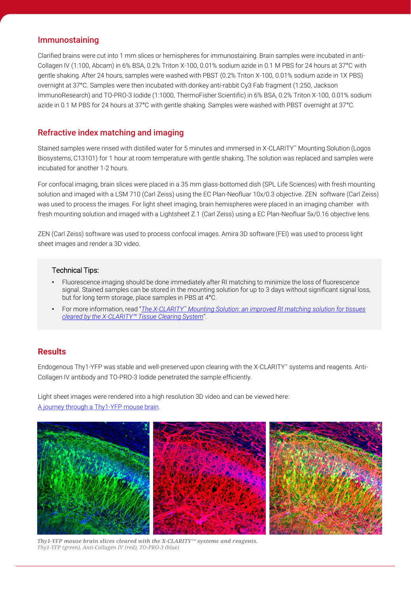### Immunostaining

Clarified brains were cut into 1 mm slices or hemispheres for immunostaining. Brain samples were incubated in anti-Collagen IV (1:100, Abcam) in 6% BSA, 0.2% Triton X-100, 0.01% sodium azide in 0.1 M PBS for 24 hours at 37°C with gentle shaking. After 24 hours, samples were washed with PBST (0.2% Triton X-100, 0.01% sodium azide in 1X PBS) overnight at 37°C. Samples were then incubated with donkey anti-rabbit Cy3 Fab fragment (1:250, Jackson ImmunoResearch) and TO-PRO-3 Iodide (1:1000, ThermoFisher Scientific) in 6% BSA, 0.2% Triton X-100, 0.01% sodium azide in 0.1 M PBS for 24 hours at 37°C with gentle shaking. Samples were washed with PBST overnight at 37°C.

# Refractive index matching and imaging

Stained samples were rinsed with distilled water for 5 minutes and immersed in X-CLARITY™ Mounting Solution (Logos Biosystems, C13101) for 1 hour at room temperature with gentle shaking. The solution was replaced and samples were incubated for another 1-2 hours.

For confocal imaging, brain slices were placed in a 35 mm glass-bottomed dish (SPL Life Sciences) with fresh mounting solution and imaged with a LSM 710 (Carl Zeiss) using the EC Plan-Neofluar 10x/0.3 objective. ZEN software (Carl Zeiss) was used to process the images. For light sheet imaging, brain hemispheres were placed in an imaging chamber with fresh mounting solution and imaged with a Lightsheet Z.1 (Carl Zeiss) using a EC Plan-Neofluar 5x/0.16 objective lens.

ZEN (Carl Zeiss) software was used to process confocal images. Amira 3D software (FEI) was used to process light sheet images and render a 3D video.

#### Technical Tips:

- Fluorescence imaging should be done immediately after RI matching to minimize the loss of fluorescence signal. Stained samples can be stored in the mounting solution for up to 3 days without significant signal loss, but for long term storage, place samples in PBS at 4°C.
- For more information, read "*The X-CLARITY™ [Mounting Solution: an improved RI matching solution for tissues](http://logosbio.com/download/pdf/The X-CLARITY Mounting Solution  an improved RI matching solution for tissues cleared by the X-CLARITY Tissue Clearing2.pdf)  cleared by the X-CLARITY™ Tissue Clearing System*".

# **Results**

Endogenous Thy1-YFP was stable and well-preserved upon clearing with the X-CLARITY™ systems and reagents. Anti-Collagen IV antibody and TO-PRO-3 Iodide penetrated the sample efficiently.

Light sheet images were rendered into a high resolution 3D video and can be viewed here: [A journey through a Thy1-YFP mouse brain.](https://youtu.be/ayvmy7T-rGM)



*Thy1-YFP mouse brain slices cleared with the X-CLARITY™ systems and reagents. Thy1-YFP (green), Anti-Collagen IV (red), TO-PRO-3 (blue)*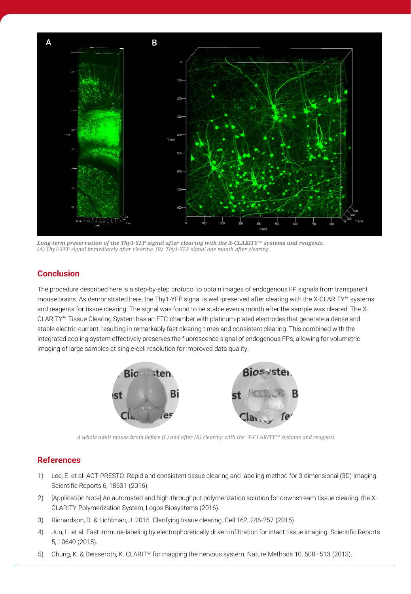

*Long-term preservation of the Thy1-YFP signal after clearing with the X-CLARITY™ systems and reagents. (A) Thy1-YFP signal immediately after clearing. (B) Thy1-YFP signal one month after clearing.* 

# **Conclusion**

The procedure described here is a step-by-step protocol to obtain images of endogenous FP signals from transparent mouse brains. As demonstrated here, the Thy1-YFP signal is well-preserved after clearing with the X-CLARITY™ systems and reagents for tissue clearing. The signal was found to be stable even a month after the sample was cleared. The X-CLARITY™ Tissue Clearing System has an ETC chamber with platinum-plated electrodes that generate a dense and stable electric current, resulting in remarkably fast clearing times and consistent clearing. This combined with the integrated cooling system effectively preserves the fluorescence signal of endogenous FPs, allowing for volumetric imaging of large samples at single-cell resolution for improved data quality.



*A whole adult mouse brain before (L) and after (R) clearing with the X-CLARITY™ systems and reagents*

# **References**

- 1) Lee, E. et al. ACT-PRESTO: Rapid and consistent tissue clearing and labeling method for 3 dimensional (3D) imaging. Scientific Reports 6, 18631 (2016).
- 2) [Application Note] An automated and high-throughput polymerization solution for downstream tissue clearing: the X-CLARITY Polymerization System, Logos Biosystems (2016).
- 3) Richardson, D. & Lichtman, J. 2015. Clarifying tissue clearing. Cell 162, 246-257 (2015).
- 4) Jun, Li et al. Fast immune-labeling by electrophoretically driven infiltration for intact tissue imaging. Scientific Reports 5, 10640 (2015).
- 5) Chung, K. & Deisseroth, K. CLARITY for mapping the nervous system. Nature Methods 10, 508–513 (2013).